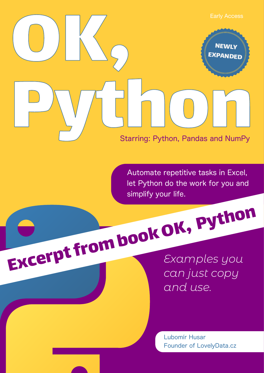

Automate repetitive tasks in Excel, let Python do the work for you and simplify your life.

*Examples you can just copy and use.* Excerpt from book OK, Python

> Lubomír Husar Founder of LovelyData.cz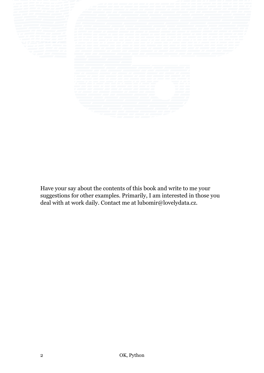Have your say about the contents of this book and write to me your suggestions for other examples. Primarily, I am interested in those you deal with at work daily. Contact me at lubomir@lovelydata.cz.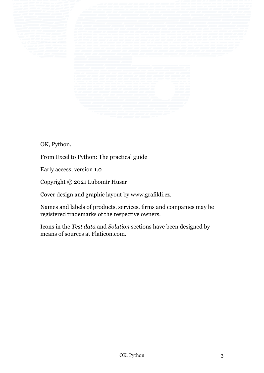OK, Python.

From Excel to Python: The practical guide

Early access, version 1.0

Copyright © 2021 Lubomír Husar

Cover design and graphic layout by [www.grafikli.cz.](https://www.grafikli.cz)

Names and labels of products, services, firms and companies may be registered trademarks of the respective owners.

Icons in the *Test data* and *Solution* sections have been designed by means of sources at Flaticon.com.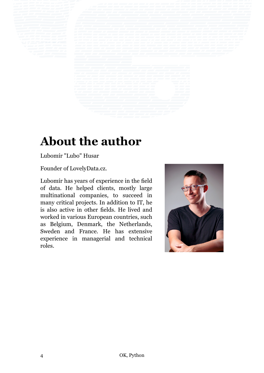# **About the author**

Lubomír "Lubo" Husar

Founder of LovelyData.cz.

Lubomír has years of experience in the field of data. He helped clients, mostly large multinational companies, to succeed in many critical projects. In addition to IT, he is also active in other fields. He lived and worked in various European countries, such as Belgium, Denmark, the Netherlands, Sweden and France. He has extensive experience in managerial and technical roles.

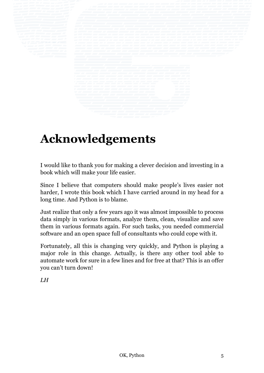

# **Acknowledgements**

I would like to thank you for making a clever decision and investing in a book which will make your life easier.

Since I believe that computers should make people's lives easier not harder, I wrote this book which I have carried around in my head for a long time. And Python is to blame.

Just realize that only a few years ago it was almost impossible to process data simply in various formats, analyze them, clean, visualize and save them in various formats again. For such tasks, you needed commercial software and an open space full of consultants who could cope with it.

Fortunately, all this is changing very quickly, and Python is playing a major role in this change. Actually, is there any other tool able to automate work for sure in a few lines and for free at that? This is an offer you can't turn down!

*LH*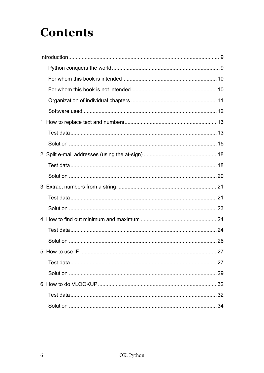# **Contents**

| 34 |
|----|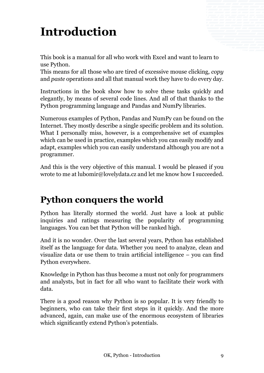# <span id="page-8-0"></span>**Introduction**

This book is a manual for all who work with Excel and want to learn to use Python.

This means for all those who are tired of excessive mouse clicking, *copy* and *paste* operations and all that manual work they have to do every day.

Instructions in the book show how to solve these tasks quickly and elegantly, by means of several code lines. And all of that thanks to the Python programming language and Pandas and NumPy libraries.

Numerous examples of Python, Pandas and NumPy can be found on the Internet. They mostly describe a single specific problem and its solution. What I personally miss, however, is a comprehensive set of examples which can be used in practice, examples which you can easily modify and adapt, examples which you can easily understand although you are not a programmer.

And this is the very objective of this manual. I would be pleased if you wrote to me at lubomir@lovelydata.cz and let me know how I succeeded.

## **Python conquers the world**

Python has literally stormed the world. Just have a look at public inquiries and ratings measuring the popularity of programming languages. You can bet that Python will be ranked high.

And it is no wonder. Over the last several years, Python has established itself as the language for data. Whether you need to analyze, clean and visualize data or use them to train artificial intelligence – you can find Python everywhere.

Knowledge in Python has thus become a must not only for programmers and analysts, but in fact for all who want to facilitate their work with data.

There is a good reason why Python is so popular. It is very friendly to beginners, who can take their first steps in it quickly. And the more advanced, again, can make use of the enormous ecosystem of libraries which significantly extend Python's potentials.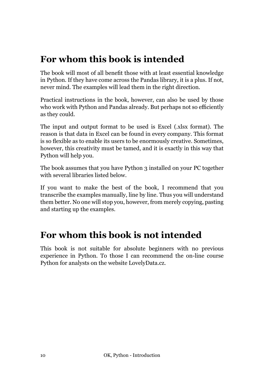## <span id="page-9-0"></span>**For whom this book is intended**

The book will most of all benefit those with at least essential knowledge in Python. If they have come across the Pandas library, it is a plus. If not, never mind. The examples will lead them in the right direction.

Practical instructions in the book, however, can also be used by those who work with Python and Pandas already. But perhaps not so efficiently as they could.

The input and output format to be used is Excel (.xlsx format). The reason is that data in Excel can be found in every company. This format is so flexible as to enable its users to be enormously creative. Sometimes, however, this creativity must be tamed, and it is exactly in this way that Python will help you.

The book assumes that you have Python 3 installed on your PC together with several libraries listed below.

If you want to make the best of the book, I recommend that you transcribe the examples manually, line by line. Thus you will understand them better. No one will stop you, however, from merely copying, pasting and starting up the examples.

## **For whom this book is not intended**

This book is not suitable for absolute beginners with no previous experience in Python. To those I can recommend the on-line course Python for analysts on the website LovelyData.cz.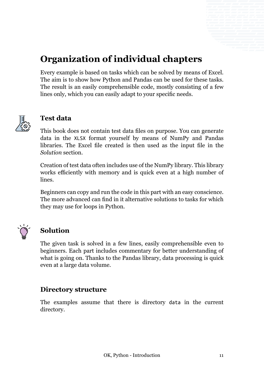## <span id="page-10-0"></span>**Organization of individual chapters**

Every example is based on tasks which can be solved by means of Excel. The aim is to show how Python and Pandas can be used for these tasks. The result is an easily comprehensible code, mostly consisting of a few lines only, which you can easily adapt to your specific needs.



### **Test data**

This book does not contain test data files on purpose. You can generate data in the XLSX format yourself by means of NumPy and Pandas libraries. The Excel file created is then used as the input file in the *Solution* section.

Creation of test data often includes use of the NumPy library. This library works efficiently with memory and is quick even at a high number of lines.

Beginners can copy and run the code in this part with an easy conscience. The more advanced can find in it alternative solutions to tasks for which they may use for loops in Python.



### **Solution**

The given task is solved in a few lines, easily comprehensible even to beginners. Each part includes commentary for better understanding of what is going on. Thanks to the Pandas library, data processing is quick even at a large data volume.

### **Directory structure**

The examples assume that there is directory data in the current directory.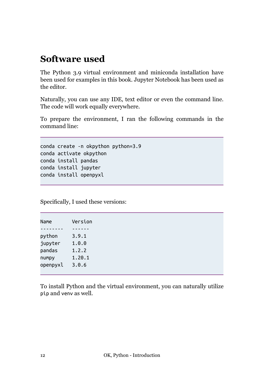## <span id="page-11-0"></span>**Software used**

The Python 3.9 virtual environment and miniconda installation have been used for examples in this book. Jupyter Notebook has been used as the editor.

Naturally, you can use any IDE, text editor or even the command line. The code will work equally everywhere.

To prepare the environment, I ran the following commands in the command line:

```
conda create -n okpython python=3.9
conda activate okpython
conda install pandas
conda install jupyter
conda install openpyxl
```
Specifically, I used these versions:

| Name     | Version |
|----------|---------|
|          |         |
| python   | 3.9.1   |
| jupyter  | 1.0.0   |
| pandas   | 1.2.2   |
| numpy    | 1.20.1  |
| openpyxl | 3.0.6   |
|          |         |

To install Python and the virtual environment, you can naturally utilize pip and venv as well.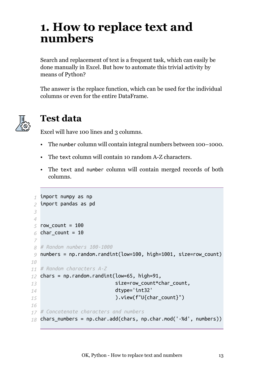## <span id="page-12-0"></span>**1. How to replace text and numbers**

Search and replacement of text is a frequent task, which can easily be done manually in Excel. But how to automate this trivial activity by means of Python?

The answer is the replace function, which can be used for the individual columns or even for the entire DataFrame.



### **Test data**

Excel will have 100 lines and 3 columns.

- The number column will contain integral numbers between 100–1000.
- The text column will contain 10 random A-Z characters.
- The text and number column will contain merged records of both columns.

```
_1 import numpy as np
 import pandas as pd
2
 row_count = 100
5
 char_count = 10
6
 # Random numbers 100-1000
8
 numbers = np.random.randint(low=100, high=1001, size=row_count)
9
# Random characters A-Z
11
12 chars = np.random.random(low=65, high=91,size=row_count*char_count,
                              dtype='int32'
                              ).view(f"U{char_count}")
# Concatenate characters and numbers
17
18 chars_numbers = np.char.add(chars, np.char.mod('-%d', numbers))
 3
4
 7
10
13
14
15
16
```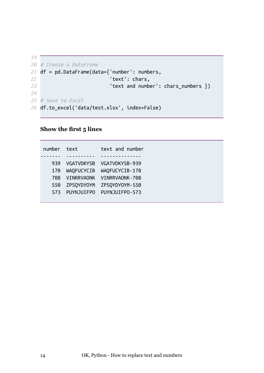```
# Create a DataFrame
20
df = pd.DataFrame(data={'number': numbers,
21
                           'text': chars,
                           'text and number': chars_numbers })
# Save to Excel
25
df.to_excel('data/test.xlsx', index=False)
26
19
22
23
24
```
### **Show the first 5 lines**

| number text |                   | text and number |
|-------------|-------------------|-----------------|
|             |                   |                 |
| 939         | <b>VGATVDKYSB</b> | VGATVDKYSB-939  |
| 170         | <b>WAQFUCYCIB</b> | WAQFUCYCIB-170  |
| 708         | <b>VINRRVAONK</b> | VINRRVAONK-708  |
| 550         | ZPSQYDYOYM        | ZPSQYDYOYM-550  |
| 573         | PUYNJUIFPO        | PUYNJUIFPO-573  |
|             |                   |                 |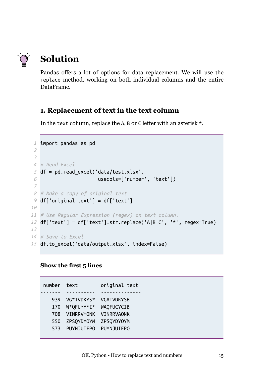<span id="page-14-0"></span>

## **Solution**

Pandas offers a lot of options for data replacement. We will use the replace method, working on both individual columns and the entire DataFrame.

### **1. Replacement of text in the text column**

In the text column, replace the A, B or C letter with an asterisk \*.

```
1 import pandas as pd
 # Read Excel
4
 5 df = pd.read_excel('data/test.xlsx',
                       usecols=['number', 'text'])
 # Make a copy of original text
8
 df['original text'] = df['text']
9
# Use Regular Expression (regex) on text column.
11
df['text'] = df['text'].str.replace('A|B|C', '*', regex=True)
12
# Save to Excel
14
df.to_excel('data/output.xlsx', index=False)
152
3
6
 7
10
13
```
### **Show the first 5 lines**

number text original text ------- ---------- -------------- 939 VG\*TVDKYS\* VGATVDKYSB 170 W\*QFU\*Y\*I\* WAQFUCYCIB 708 VINRRV\*ONK VINRRVAONK 550 ZPSQYDYOYM ZPSQYDYOYM 573 PUYNJUIFPO PUYNJUIFPO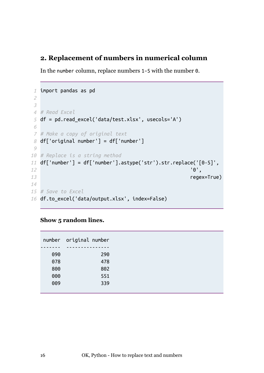### **2. Replacement of numbers in numerical column**

In the number column, replace numbers 1–5 with the number 0.

```
import pandas as pd
1
 # Read Excel
4
 df = pd.read_excel('data/test.xlsx', usecols='A')
5
 # Make a copy of original text
7
 df['original number'] = df['number']
8
# Replace is a string method
10
df['number'] = df['number'].astype('str').str.replace('[0-5]',
11
                                                         '0',
                                                        regex=True)
# Save to Excel
15
df.to_excel('data/output.xlsx', index=False)
16
2
3
6
9
12
13
14
```
#### **Show 5 random lines.**

|     | number original number |
|-----|------------------------|
|     |                        |
| 090 | 290                    |
| 078 | 478                    |
| 800 | 802                    |
| 000 | 551                    |
| 009 | 339                    |
|     |                        |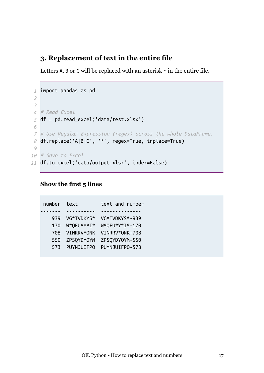### **3. Replacement of text in the entire file**

Letters A, B or C will be replaced with an asterisk  $*$  in the entire file.

```
import pandas as pd
1
 # Read Excel
4
 df = pd.read_excel('data/test.xlsx')
5
 # Use Regular Expression (regex) across the whole DataFrame.
7
 df.replace('A|B|C', '*', regex=True, inplace=True)
8
# Save to Excel
10
df.to_excel('data/output.xlsx', index=False)
112
3
6
9
```
#### **Show the first 5 lines**

| number text |            | text and number |
|-------------|------------|-----------------|
|             |            |                 |
| 939         | VG*TVDKYS* | VG*TVDKYS*-939  |
| 170         | W*QFU*Y*I* | W*QFU*Y*I*-170  |
| 708         | VINRRV*ONK | VINRRV*ONK-708  |
| 550         | ZPSQYDYOYM | ZPSQYDY0YM-550  |
| 573         | PUYNJUIFPO | PUYNJUIFPO-573  |
|             |            |                 |